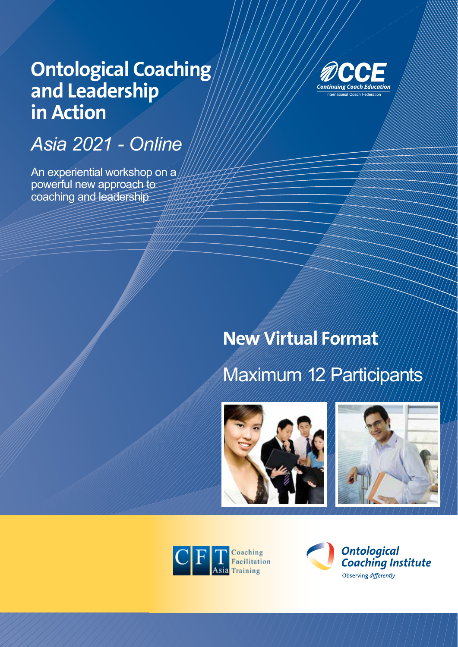# **Ontological Coaching and Leadership in Action**

# *Asia 2021 - Online*

An experiential workshop on a powerful new approach to coaching and leadership



## **New Virtual Format**

# Maximum 12 Participants







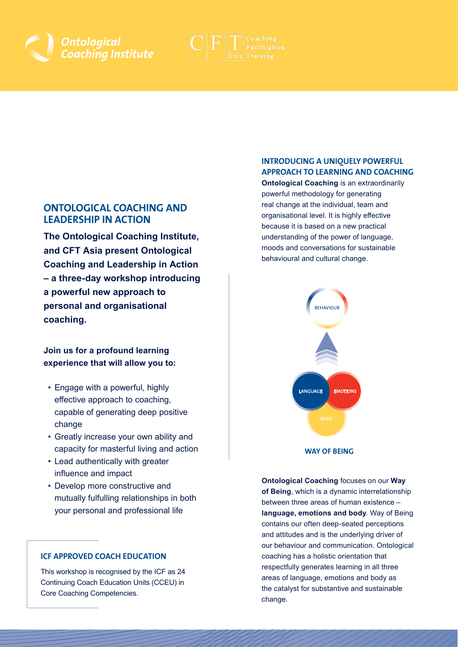



### **ONTOLOGICAL COACHING AND LEADERSHIP IN ACTION**

**The Ontological Coaching Institute, and CFT Asia present Ontological Coaching and Leadership in Action – a three-day workshop introducing a powerful new approach to personal and organisational coaching.**

### **Join us for a profound learning experience that will allow you to:**

- Engage with a powerful, highly effective approach to coaching, capable of generating deep positive change
- Greatly increase your own ability and capacity for masterful living and action
- Lead authentically with greater influence and impact
- Develop more constructive and mutually fulfulling relationships in both your personal and professional life

#### **ICF APPROVED COACH EDUCATION**

This workshop is recognised by the ICF as 24 Continuing Coach Education Units (CCEU) in Core Coaching Competencies.

### **INTRODUCING A UNIQUELY POWERFUL APPROACH TO LEARNING AND COACHING**

**Ontological Coaching** is an extraordinarily powerful methodology for generating real change at the individual, team and organisational level. It is highly effective because it is based on a new practical understanding of the power of language, moods and conversations for sustainable behavioural and cultural change.



**Ontological Coaching** focuses on our **Way of Being**, which is a dynamic interrelationship between three areas of human existence – **language, emotions and body**. Way of Being contains our often deep-seated perceptions and attitudes and is the underlying driver of our behaviour and communication. Ontological coaching has a holistic orientation that respectfully generates learning in all three areas of language, emotions and body as the catalyst for substantive and sustainable change.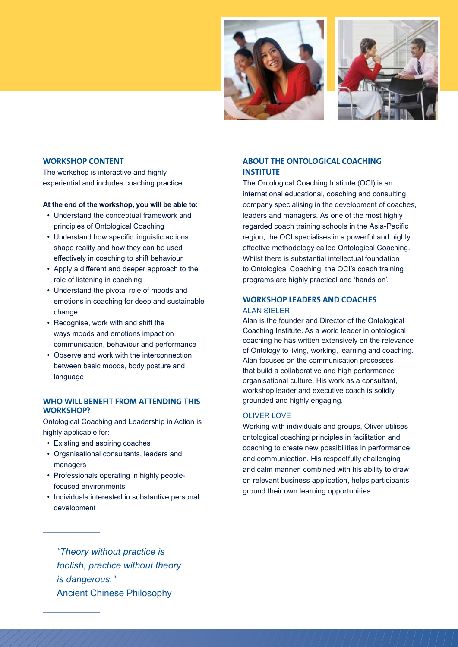



#### **WORKSHOP CONTENT**

The workshop is interactive and highly experiential and includes coaching practice.

#### **At the end of the workshop, you will be able to:**

- Understand the conceptual framework and principles of Ontological Coaching
- Understand how specific linguistic actions shape reality and how they can be used effectively in coaching to shift behaviour
- Apply a different and deeper approach to the role of listening in coaching
- Understand the pivotal role of moods and emotions in coaching for deep and sustainable change
- Recognise, work with and shift the ways moods and emotions impact on communication, behaviour and performance
- Observe and work with the interconnection between basic moods, body posture and language

#### **WHO WILL BENEFIT FROM ATTENDING THIS WORKSHOP?**

Ontological Coaching and Leadership in Action is highly applicable for:

- Existing and aspiring coaches
- Organisational consultants, leaders and managers
- Professionals operating in highly peoplefocused environments
- Individuals interested in substantive personal development

#### **ABOUT THE ONTOLOGICAL COACHING INSTITUTE**

The Ontological Coaching Institute (OCI) is an international educational, coaching and consulting company specialising in the development of coaches, leaders and managers. As one of the most highly regarded coach training schools in the Asia-Pacific region, the OCI specialises in a powerful and highly effective methodology called Ontological Coaching. Whilst there is substantial intellectual foundation to Ontological Coaching, the OCI's coach training programs are highly practical and 'hands on'.

#### **WORKSHOP LEADERS AND COACHES** ALAN SIELER

Alan is the founder and Director of the Ontological Coaching Institute. As a world leader in ontological coaching he has written extensively on the relevance of Ontology to living, working, learning and coaching. Alan focuses on the communication processes that build a collaborative and high performance organisational culture. His work as a consultant, workshop leader and executive coach is solidly grounded and highly engaging.

#### OLIVER LOVE

Working with individuals and groups, Oliver utilises ontological coaching principles in facilitation and coaching to create new possibilities in performance and communication. His respectfully challenging and calm manner, combined with his ability to draw on relevant business application, helps participants ground their own learning opportunities.

*"Theory without practice is foolish, practice without theory is dangerous."*  Ancient Chinese Philosophy